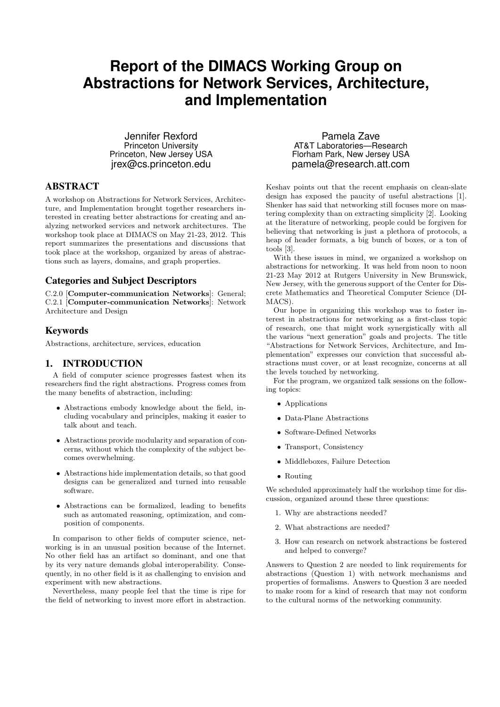# **Report of the DIMACS Working Group on Abstractions for Network Services, Architecture, and Implementation**

Jennifer Rexford Princeton University Princeton, New Jersey USA jrex@cs.princeton.edu

#### ABSTRACT

A workshop on Abstractions for Network Services, Architecture, and Implementation brought together researchers interested in creating better abstractions for creating and analyzing networked services and network architectures. The workshop took place at DIMACS on May 21-23, 2012. This report summarizes the presentations and discussions that took place at the workshop, organized by areas of abstractions such as layers, domains, and graph properties.

## Categories and Subject Descriptors

C.2.0 [Computer-communication Networks]: General; C.2.1 [Computer-communication Networks]: Network Architecture and Design

#### Keywords

Abstractions, architecture, services, education

# 1. INTRODUCTION

A field of computer science progresses fastest when its researchers find the right abstractions. Progress comes from the many benefits of abstraction, including:

- Abstractions embody knowledge about the field, including vocabulary and principles, making it easier to talk about and teach.
- Abstractions provide modularity and separation of concerns, without which the complexity of the subject becomes overwhelming.
- Abstractions hide implementation details, so that good designs can be generalized and turned into reusable software.
- Abstractions can be formalized, leading to benefits such as automated reasoning, optimization, and composition of components.

In comparison to other fields of computer science, networking is in an unusual position because of the Internet. No other field has an artifact so dominant, and one that by its very nature demands global interoperability. Consequently, in no other field is it as challenging to envision and experiment with new abstractions.

Nevertheless, many people feel that the time is ripe for the field of networking to invest more effort in abstraction.

Pamela Zave AT&T Laboratories—Research Florham Park, New Jersey USA pamela@research.att.com

Keshav points out that the recent emphasis on clean-slate design has exposed the paucity of useful abstractions [1]. Shenker has said that networking still focuses more on mastering complexity than on extracting simplicity [2]. Looking at the literature of networking, people could be forgiven for believing that networking is just a plethora of protocols, a heap of header formats, a big bunch of boxes, or a ton of tools [3].

With these issues in mind, we organized a workshop on abstractions for networking. It was held from noon to noon 21-23 May 2012 at Rutgers University in New Brunswick, New Jersey, with the generous support of the Center for Discrete Mathematics and Theoretical Computer Science (DI-MACS).

Our hope in organizing this workshop was to foster interest in abstractions for networking as a first-class topic of research, one that might work synergistically with all the various "next generation" goals and projects. The title "Abstractions for Network Services, Architecture, and Implementation" expresses our conviction that successful abstractions must cover, or at least recognize, concerns at all the levels touched by networking.

For the program, we organized talk sessions on the following topics:

- Applications
- Data-Plane Abstractions
- Software-Defined Networks
- Transport, Consistency
- Middleboxes, Failure Detection
- Routing

We scheduled approximately half the workshop time for discussion, organized around these three questions:

- 1. Why are abstractions needed?
- 2. What abstractions are needed?
- 3. How can research on network abstractions be fostered and helped to converge?

Answers to Question 2 are needed to link requirements for abstractions (Question 1) with network mechanisms and properties of formalisms. Answers to Question 3 are needed to make room for a kind of research that may not conform to the cultural norms of the networking community.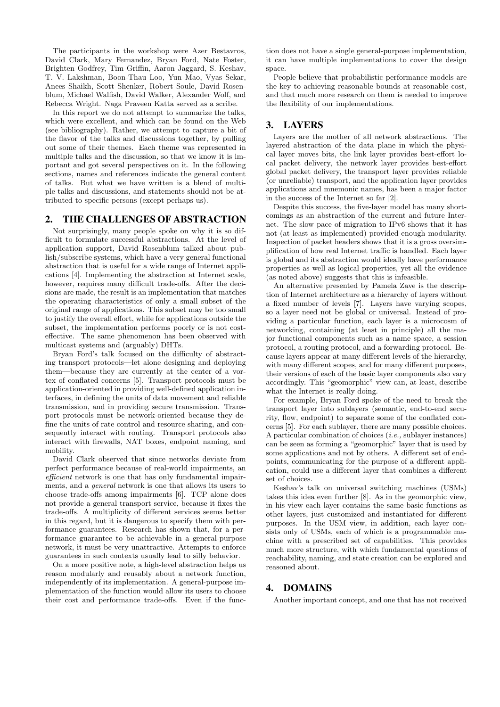The participants in the workshop were Azer Bestavros, David Clark, Mary Fernandez, Bryan Ford, Nate Foster, Brighten Godfrey, Tim Griffin, Aaron Jaggard, S. Keshav, T. V. Lakshman, Boon-Thau Loo, Yun Mao, Vyas Sekar, Anees Shaikh, Scott Shenker, Robert Soule, David Rosenblum, Michael Walfish, David Walker, Alexander Wolf, and Rebecca Wright. Naga Praveen Katta served as a scribe.

In this report we do not attempt to summarize the talks, which were excellent, and which can be found on the Web (see bibliography). Rather, we attempt to capture a bit of the flavor of the talks and discussions together, by pulling out some of their themes. Each theme was represented in multiple talks and the discussion, so that we know it is important and got several perspectives on it. In the following sections, names and references indicate the general content of talks. But what we have written is a blend of multiple talks and discussions, and statements should not be attributed to specific persons (except perhaps us).

#### 2. THE CHALLENGES OF ABSTRACTION

Not surprisingly, many people spoke on why it is so difficult to formulate successful abstractions. At the level of application support, David Rosenblum talked about publish/subscribe systems, which have a very general functional abstraction that is useful for a wide range of Internet applications [4]. Implementing the abstraction at Internet scale, however, requires many difficult trade-offs. After the decisions are made, the result is an implementation that matches the operating characteristics of only a small subset of the original range of applications. This subset may be too small to justify the overall effort, while for applications outside the subset, the implementation performs poorly or is not costeffective. The same phenomenon has been observed with multicast systems and (arguably) DHTs.

Bryan Ford's talk focused on the difficulty of abstracting transport protocols—let alone designing and deploying them—because they are currently at the center of a vortex of conflated concerns [5]. Transport protocols must be application-oriented in providing well-defined application interfaces, in defining the units of data movement and reliable transmission, and in providing secure transmission. Transport protocols must be network-oriented because they define the units of rate control and resource sharing, and consequently interact with routing. Transport protocols also interact with firewalls, NAT boxes, endpoint naming, and mobility.

David Clark observed that since networks deviate from perfect performance because of real-world impairments, an efficient network is one that has only fundamental impairments, and a general network is one that allows its users to choose trade-offs among impairments [6]. TCP alone does not provide a general transport service, because it fixes the trade-offs. A multiplicity of different services seems better in this regard, but it is dangerous to specify them with performance guarantees. Research has shown that, for a performance guarantee to be achievable in a general-purpose network, it must be very unattractive. Attempts to enforce guarantees in such contexts usually lead to silly behavior.

On a more positive note, a high-level abstraction helps us reason modularly and reusably about a network function, independently of its implementation. A general-purpose implementation of the function would allow its users to choose their cost and performance trade-offs. Even if the func-

tion does not have a single general-purpose implementation, it can have multiple implementations to cover the design space.

People believe that probabilistic performance models are the key to achieving reasonable bounds at reasonable cost, and that much more research on them is needed to improve the flexibility of our implementations.

#### 3. LAYERS

Layers are the mother of all network abstractions. The layered abstraction of the data plane in which the physical layer moves bits, the link layer provides best-effort local packet delivery, the network layer provides best-effort global packet delivery, the transport layer provides reliable (or unreliable) transport, and the application layer provides applications and mnemonic names, has been a major factor in the success of the Internet so far [2].

Despite this success, the five-layer model has many shortcomings as an abstraction of the current and future Internet. The slow pace of migration to IPv6 shows that it has not (at least as implemented) provided enough modularity. Inspection of packet headers shows that it is a gross oversimplification of how real Internet traffic is handled. Each layer is global and its abstraction would ideally have performance properties as well as logical properties, yet all the evidence (as noted above) suggests that this is infeasible.

An alternative presented by Pamela Zave is the description of Internet architecture as a hierarchy of layers without a fixed number of levels [7]. Layers have varying scopes, so a layer need not be global or universal. Instead of providing a particular function, each layer is a microcosm of networking, containing (at least in principle) all the major functional components such as a name space, a session protocol, a routing protocol, and a forwarding protocol. Because layers appear at many different levels of the hierarchy, with many different scopes, and for many different purposes, their versions of each of the basic layer components also vary accordingly. This "geomorphic" view can, at least, describe what the Internet is really doing.

For example, Bryan Ford spoke of the need to break the transport layer into sublayers (semantic, end-to-end security, flow, endpoint) to separate some of the conflated concerns [5]. For each sublayer, there are many possible choices. A particular combination of choices  $(i.e.,$  sublayer instances) can be seen as forming a "geomorphic" layer that is used by some applications and not by others. A different set of endpoints, communicating for the purpose of a different application, could use a different layer that combines a different set of choices.

Keshav's talk on universal switching machines (USMs) takes this idea even further [8]. As in the geomorphic view, in his view each layer contains the same basic functions as other layers, just customized and instantiated for different purposes. In the USM view, in addition, each layer consists only of USMs, each of which is a programmable machine with a prescribed set of capabilities. This provides much more structure, with which fundamental questions of reachability, naming, and state creation can be explored and reasoned about.

## 4. DOMAINS

Another important concept, and one that has not received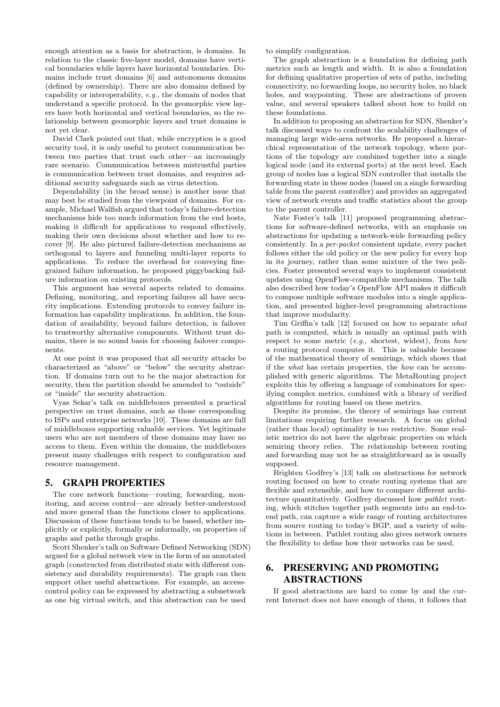enough attention as a basis for abstraction, is domains. In relation to the classic five-layer model, domains have vertical boundaries while layers have horizontal boundaries. Domains include trust domains [6] and autonomous domains (defined by ownership). There are also domains defined by capability or interoperability, e.g., the domain of nodes that understand a specific protocol. In the geomorphic view layers have both horizontal and vertical boundaries, so the relationship between geomorphic layers and trust domains is not yet clear.

David Clark pointed out that, while encryption is a good security tool, it is only useful to protect communication between two parties that trust each other—an increasingly rare scenario. Communication between mistrustful parties is communication between trust domains, and requires additional security safeguards such as virus detection.

Dependability (in the broad sense) is another issue that may best be studied from the viewpoint of domains. For example, Michael Walfish argued that today's failure-detection mechanisms hide too much information from the end hosts, making it difficult for applications to respond effectively, making their own decisions about whether and how to recover [9]. He also pictured failure-detection mechanisms as orthogonal to layers and funneling multi-layer reports to applications. To reduce the overhead for conveying finegrained failure information, he proposed piggybacking failure information on existing protocols.

This argument has several aspects related to domains. Defining, monitoring, and reporting failures all have security implications. Extending protocols to convey failure information has capability implications. In addition, the foundation of availability, beyond failure detection, is failover to trustworthy alternative components. Without trust domains, there is no sound basis for choosing failover components.

At one point it was proposed that all security attacks be characterized as "above" or "below" the security abstraction. If domains turn out to be the major abstraction for security, then the partition should be amended to "outside" or "inside" the security abstraction.

Vyas Sekar's talk on middleboxes presented a practical perspective on trust domains, such as those corresponding to ISPs and enterprise networks [10]. These domains are full of middleboxes supporting valuable services. Yet legitimate users who are not members of these domains may have no access to them. Even within the domains, the middleboxes present many challenges with respect to configuration and resource management.

#### 5. GRAPH PROPERTIES

The core network functions—routing, forwarding, monitoring, and access control—are already better-understood and more general than the functions closer to applications. Discussion of these functions tends to be based, whether implicitly or explicitly, formally or informally, on properties of graphs and paths through graphs.

Scott Shenker's talk on Software Defined Networking (SDN) argued for a global network view in the form of an annotated graph (constructed from distributed state with different consistency and durability requirements). The graph can then support other useful abstractions. For example, an accesscontrol policy can be expressed by abstracting a subnetwork as one big virtual switch, and this abstraction can be used

to simplify configuration.

The graph abstraction is a foundation for defining path metrics such as length and width. It is also a foundation for defining qualitative properties of sets of paths, including connectivity, no forwarding loops, no security holes, no black holes, and waypointing. These are abstractions of proven value, and several speakers talked about how to build on these foundations.

In addition to proposing an abstraction for SDN, Shenker's talk discussed ways to confront the scalability challenges of managing large wide-area networks. He proposed a hierarchical representation of the network topology, where portions of the topology are combined together into a single logical node (and its external ports) at the next level. Each group of nodes has a logical SDN controller that installs the forwarding state in these nodes (based on a single forwarding table from the parent controller) and provides an aggregated view of network events and traffic statistics about the group to the parent controller.

Nate Foster's talk [11] proposed programming abstractions for software-defined networks, with an emphasis on abstractions for updating a network-wide forwarding policy consistently. In a per-packet consistent update, every packet follows either the old policy or the new policy for every hop in its journey, rather than some mixture of the two policies. Foster presented several ways to implement consistent updates using OpenFlow-compatible mechanisms. The talk also described how today's OpenFlow API makes it difficult to compose multiple software modules into a single application, and presented higher-level programming abstractions that improve modularity.

Tim Griffin's talk [12] focused on how to separate what path is computed, which is usually an optimal path with respect to some metric (e.g., shortest, widest), from how a routing protocol computes it. This is valuable because of the mathematical theory of semirings, which shows that if the what has certain properties, the how can be accomplished with generic algorithms. The MetaRouting project exploits this by offering a language of combinators for specifying complex metrics, combined with a library of verified algorithms for routing based on these metrics.

Despite its promise, the theory of semirings has current limitations requiring further research. A focus on global (rather than local) optimality is too restrictive. Some realistic metrics do not have the algebraic properties on which semiring theory relies. The relationship between routing and forwarding may not be as straightforward as is usually supposed.

Brighten Godfrey's [13] talk on abstractions for network routing focused on how to create routing systems that are flexible and extensible, and how to compare different architecture quantitatively. Godfrey discussed how pathlet routing, which stitches together path segments into an end-toend path, can capture a wide range of routing architectures from source routing to today's BGP, and a variety of solutions in between. Pathlet routing also gives network owners the flexibility to define how their networks can be used.

# 6. PRESERVING AND PROMOTING ABSTRACTIONS

If good abstractions are hard to come by and the current Internet does not have enough of them, it follows that